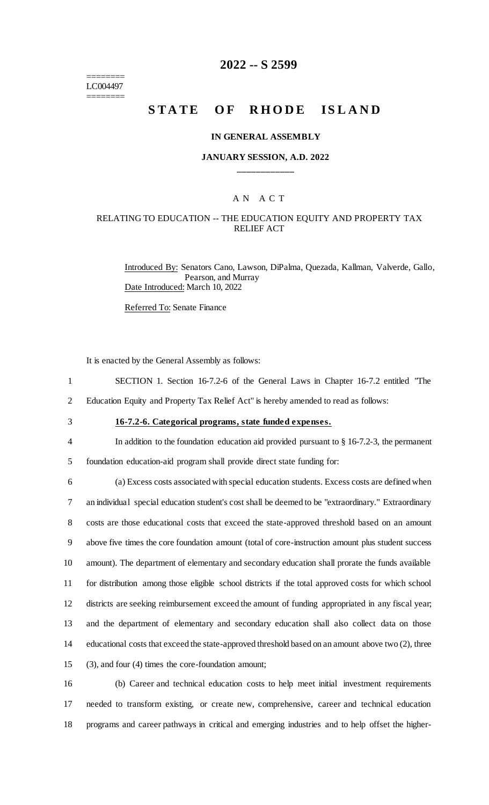======== LC004497 ========

## **2022 -- S 2599**

# **STATE OF RHODE ISLAND**

#### **IN GENERAL ASSEMBLY**

#### **JANUARY SESSION, A.D. 2022 \_\_\_\_\_\_\_\_\_\_\_\_**

## A N A C T

#### RELATING TO EDUCATION -- THE EDUCATION EQUITY AND PROPERTY TAX RELIEF ACT

Introduced By: Senators Cano, Lawson, DiPalma, Quezada, Kallman, Valverde, Gallo, Pearson, and Murray Date Introduced: March 10, 2022

Referred To: Senate Finance

It is enacted by the General Assembly as follows:

1 SECTION 1. Section 16-7.2-6 of the General Laws in Chapter 16-7.2 entitled "The

2 Education Equity and Property Tax Relief Act" is hereby amended to read as follows:

# 3 **16-7.2-6. Categorical programs, state funded expenses.**

4 In addition to the foundation education aid provided pursuant to § 16-7.2-3, the permanent

5 foundation education-aid program shall provide direct state funding for:

 (a) Excess costs associated with special education students. Excess costs are defined when an individual special education student's cost shall be deemed to be "extraordinary." Extraordinary costs are those educational costs that exceed the state-approved threshold based on an amount above five times the core foundation amount (total of core-instruction amount plus student success amount). The department of elementary and secondary education shall prorate the funds available for distribution among those eligible school districts if the total approved costs for which school districts are seeking reimbursement exceed the amount of funding appropriated in any fiscal year; and the department of elementary and secondary education shall also collect data on those educational costs that exceed the state-approved threshold based on an amount above two (2), three (3), and four (4) times the core-foundation amount;

16 (b) Career and technical education costs to help meet initial investment requirements 17 needed to transform existing, or create new, comprehensive, career and technical education 18 programs and career pathways in critical and emerging industries and to help offset the higher-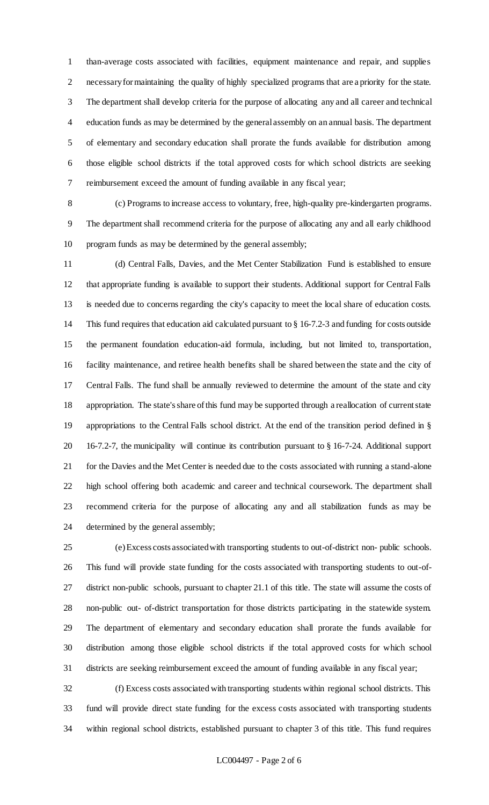than-average costs associated with facilities, equipment maintenance and repair, and supplies necessary for maintaining the quality of highly specialized programs that are a priority for the state. The department shall develop criteria for the purpose of allocating any and all career and technical education funds as may be determined by the general assembly on an annual basis. The department of elementary and secondary education shall prorate the funds available for distribution among those eligible school districts if the total approved costs for which school districts are seeking reimbursement exceed the amount of funding available in any fiscal year;

 (c) Programs to increase access to voluntary, free, high-quality pre-kindergarten programs. The department shall recommend criteria for the purpose of allocating any and all early childhood program funds as may be determined by the general assembly;

 (d) Central Falls, Davies, and the Met Center Stabilization Fund is established to ensure that appropriate funding is available to support their students. Additional support for Central Falls is needed due to concerns regarding the city's capacity to meet the local share of education costs. This fund requires that education aid calculated pursuant to § 16-7.2-3 and funding for costs outside the permanent foundation education-aid formula, including, but not limited to, transportation, facility maintenance, and retiree health benefits shall be shared between the state and the city of Central Falls. The fund shall be annually reviewed to determine the amount of the state and city appropriation. The state's share of this fund may be supported through a reallocation of current state appropriations to the Central Falls school district. At the end of the transition period defined in § 16-7.2-7, the municipality will continue its contribution pursuant to § 16-7-24. Additional support 21 for the Davies and the Met Center is needed due to the costs associated with running a stand-alone high school offering both academic and career and technical coursework. The department shall recommend criteria for the purpose of allocating any and all stabilization funds as may be determined by the general assembly;

 (e) Excess costs associated with transporting students to out-of-district non- public schools. This fund will provide state funding for the costs associated with transporting students to out-of- district non-public schools, pursuant to chapter 21.1 of this title. The state will assume the costs of non-public out- of-district transportation for those districts participating in the statewide system. The department of elementary and secondary education shall prorate the funds available for distribution among those eligible school districts if the total approved costs for which school districts are seeking reimbursement exceed the amount of funding available in any fiscal year;

 (f) Excess costs associated with transporting students within regional school districts. This fund will provide direct state funding for the excess costs associated with transporting students within regional school districts, established pursuant to chapter 3 of this title. This fund requires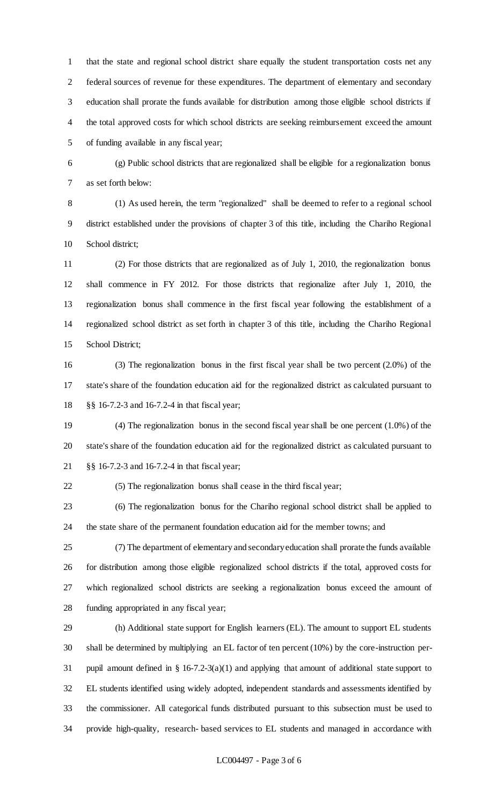that the state and regional school district share equally the student transportation costs net any federal sources of revenue for these expenditures. The department of elementary and secondary education shall prorate the funds available for distribution among those eligible school districts if the total approved costs for which school districts are seeking reimbursement exceed the amount of funding available in any fiscal year;

 (g) Public school districts that are regionalized shall be eligible for a regionalization bonus as set forth below:

 (1) As used herein, the term "regionalized" shall be deemed to refer to a regional school district established under the provisions of chapter 3 of this title, including the Chariho Regional School district;

 (2) For those districts that are regionalized as of July 1, 2010, the regionalization bonus shall commence in FY 2012. For those districts that regionalize after July 1, 2010, the regionalization bonus shall commence in the first fiscal year following the establishment of a regionalized school district as set forth in chapter 3 of this title, including the Chariho Regional School District;

 (3) The regionalization bonus in the first fiscal year shall be two percent (2.0%) of the state's share of the foundation education aid for the regionalized district as calculated pursuant to §§ 16-7.2-3 and 16-7.2-4 in that fiscal year;

 (4) The regionalization bonus in the second fiscal year shall be one percent (1.0%) of the state's share of the foundation education aid for the regionalized district as calculated pursuant to §§ 16-7.2-3 and 16-7.2-4 in that fiscal year;

(5) The regionalization bonus shall cease in the third fiscal year;

 (6) The regionalization bonus for the Chariho regional school district shall be applied to the state share of the permanent foundation education aid for the member towns; and

 (7) The department of elementary and secondary education shall prorate the funds available for distribution among those eligible regionalized school districts if the total, approved costs for which regionalized school districts are seeking a regionalization bonus exceed the amount of funding appropriated in any fiscal year;

 (h) Additional state support for English learners (EL). The amount to support EL students shall be determined by multiplying an EL factor of ten percent (10%) by the core-instruction per- pupil amount defined in § 16-7.2-3(a)(1) and applying that amount of additional state support to EL students identified using widely adopted, independent standards and assessments identified by the commissioner. All categorical funds distributed pursuant to this subsection must be used to provide high-quality, research- based services to EL students and managed in accordance with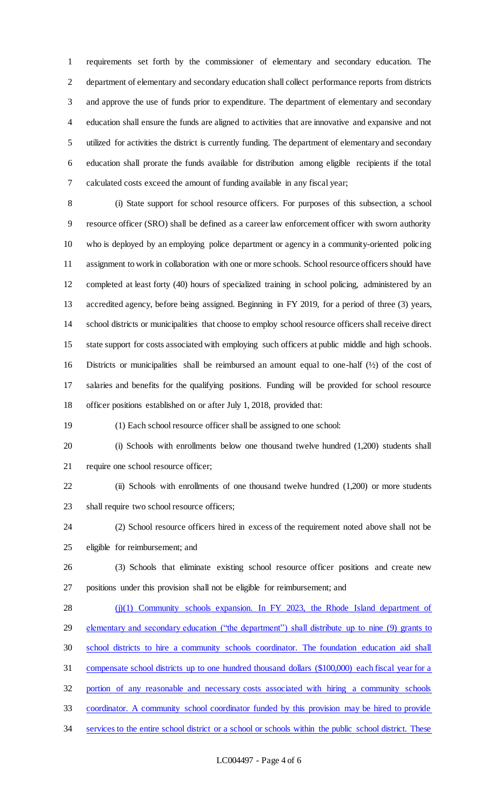requirements set forth by the commissioner of elementary and secondary education. The department of elementary and secondary education shall collect performance reports from districts and approve the use of funds prior to expenditure. The department of elementary and secondary education shall ensure the funds are aligned to activities that are innovative and expansive and not utilized for activities the district is currently funding. The department of elementary and secondary education shall prorate the funds available for distribution among eligible recipients if the total calculated costs exceed the amount of funding available in any fiscal year;

 (i) State support for school resource officers. For purposes of this subsection, a school resource officer (SRO) shall be defined as a career law enforcement officer with sworn authority who is deployed by an employing police department or agency in a community-oriented policing assignment to work in collaboration with one or more schools. School resource officers should have completed at least forty (40) hours of specialized training in school policing, administered by an accredited agency, before being assigned. Beginning in FY 2019, for a period of three (3) years, school districts or municipalities that choose to employ school resource officers shall receive direct state support for costs associated with employing such officers at public middle and high schools. Districts or municipalities shall be reimbursed an amount equal to one-half (½) of the cost of salaries and benefits for the qualifying positions. Funding will be provided for school resource officer positions established on or after July 1, 2018, provided that:

(1) Each school resource officer shall be assigned to one school:

 (i) Schools with enrollments below one thousand twelve hundred (1,200) students shall require one school resource officer;

 (ii) Schools with enrollments of one thousand twelve hundred (1,200) or more students shall require two school resource officers;

 (2) School resource officers hired in excess of the requirement noted above shall not be eligible for reimbursement; and

 (3) Schools that eliminate existing school resource officer positions and create new positions under this provision shall not be eligible for reimbursement; and

28 (j)(1) Community schools expansion. In FY 2023, the Rhode Island department of 29 elementary and secondary education ("the department") shall distribute up to nine (9) grants to school districts to hire a community schools coordinator. The foundation education aid shall compensate school districts up to one hundred thousand dollars (\$100,000) each fiscal year for a portion of any reasonable and necessary costs associated with hiring a community schools coordinator. A community school coordinator funded by this provision may be hired to provide services to the entire school district or a school or schools within the public school district. These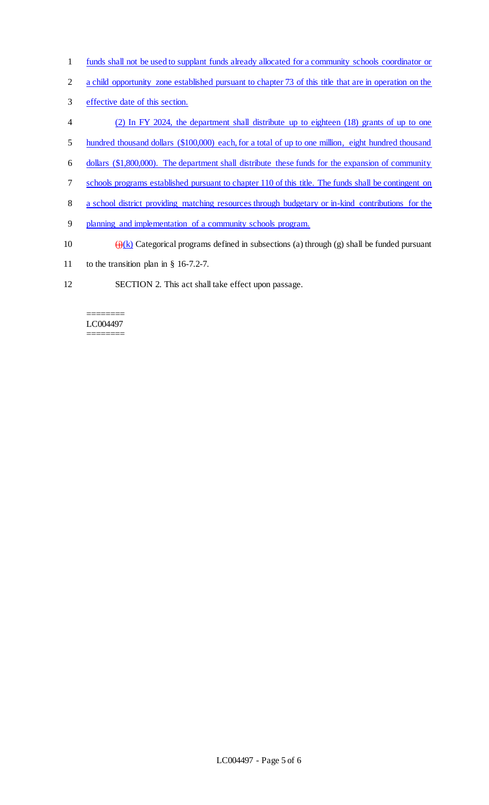- funds shall not be used to supplant funds already allocated for a community schools coordinator or
- 2 a child opportunity zone established pursuant to chapter 73 of this title that are in operation on the
- effective date of this section.
- (2) In FY 2024, the department shall distribute up to eighteen (18) grants of up to one
- hundred thousand dollars (\$100,000) each, for a total of up to one million, eight hundred thousand
- dollars (\$1,800,000). The department shall distribute these funds for the expansion of community
- schools programs established pursuant to chapter 110 of this title. The funds shall be contingent on
- a school district providing matching resources through budgetary or in-kind contributions for the
- planning and implementation of a community schools program.
- 10  $\left(\frac{1}{k}\right)$  Categorical programs defined in subsections (a) through (g) shall be funded pursuant
- to the transition plan in § 16-7.2-7.
- SECTION 2. This act shall take effect upon passage.

======== LC004497 ========